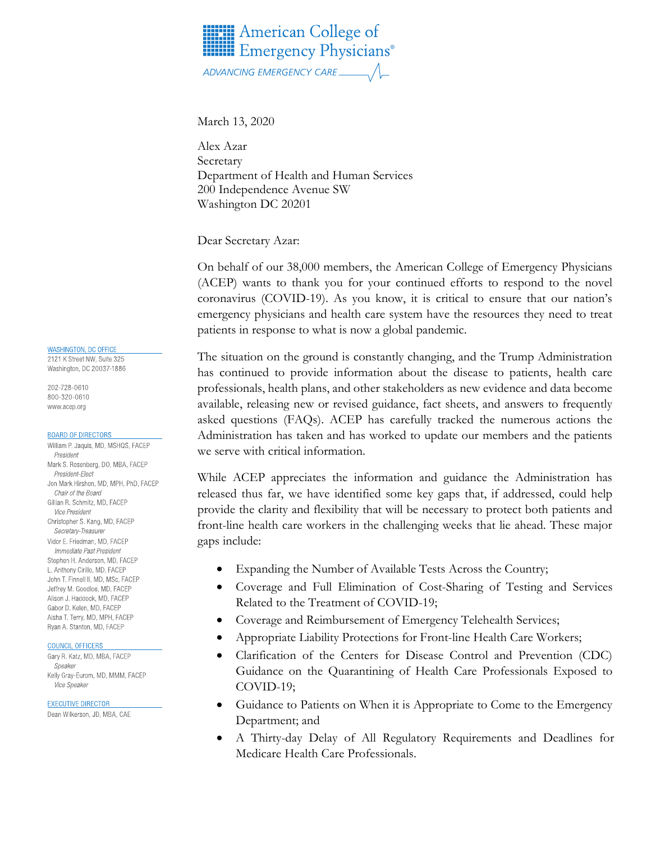

March 13, 2020

Alex Azar Secretary Department of Health and Human Services 200 Independence Avenue SW Washington DC 20201

Dear Secretary Azar:

On behalf of our 38,000 members, the American College of Emergency Physicians (ACEP) wants to thank you for your continued efforts to respond to the novel coronavirus (COVID-19). As you know, it is critical to ensure that our nation's emergency physicians and health care system have the resources they need to treat patients in response to what is now a global pandemic.

The situation on the ground is constantly changing, and the Trump Administration has continued to provide information about the disease to patients, health care professionals, health plans, and other stakeholders as new evidence and data become available, releasing new or revised guidance, fact sheets, and answers to frequently asked questions (FAQs). ACEP has carefully tracked the numerous actions the Administration has taken and has worked to update our members and the patients we serve with critical information.

While ACEP appreciates the information and guidance the Administration has released thus far, we have identified some key gaps that, if addressed, could help provide the clarity and flexibility that will be necessary to protect both patients and front-line health care workers in the challenging weeks that lie ahead. These major gaps include:

- Expanding the Number of Available Tests Across the Country;
- Coverage and Full Elimination of Cost-Sharing of Testing and Services Related to the Treatment of COVID-19;
- Coverage and Reimbursement of Emergency Telehealth Services;
- Appropriate Liability Protections for Front-line Health Care Workers;
- Clarification of the Centers for Disease Control and Prevention (CDC) Guidance on the Quarantining of Health Care Professionals Exposed to COVID-19;
- Guidance to Patients on When it is Appropriate to Come to the Emergency Department; and
- A Thirty-day Delay of All Regulatory Requirements and Deadlines for Medicare Health Care Professionals.

#### **WASHINGTON, DC OFFICE**

2121 K Street NW, Suite 325 Washington, DC 20037-1886

202-728-0610 800-320-0610 www.acep.org

#### **BOARD OF DIRECTORS**

William P. Jaquis, MD, MSHQS, FACEP President Mark S. Rosenberg, DO, MBA, FACEP President-Elect Jon Mark Hirshon, MD, MPH, PhD, FACEP Chair of the Board Gillian R. Schmitz, MD, FACEP **Vice President** Christopher S. Kang, MD, FACEP Secretary-Treasurer Vidor E. Friedman, MD, FACEP Immediate Past President Stephen H. Anderson, MD. FACEP L. Anthony Cirillo, MD, FACEP John T. Finnell II, MD, MSc, EACEP Jeffrey M. Goodloe, MD, FACEP Alison J. Haddock, MD, FACEP Gabor D. Kelen, MD, FACEP Aisha T. Terry, MD, MPH, FACEP Ryan A. Stanton, MD, FACEP

#### COUNCIL OFFICERS

Gary R. Katz, MD, MBA, FACEP Speaker Kelly Gray-Eurom, MD, MMM, FACEP Vice Speaker

#### **EXECUTIVE DIRECTOR**

Dean Wilkerson, JD, MBA, CAE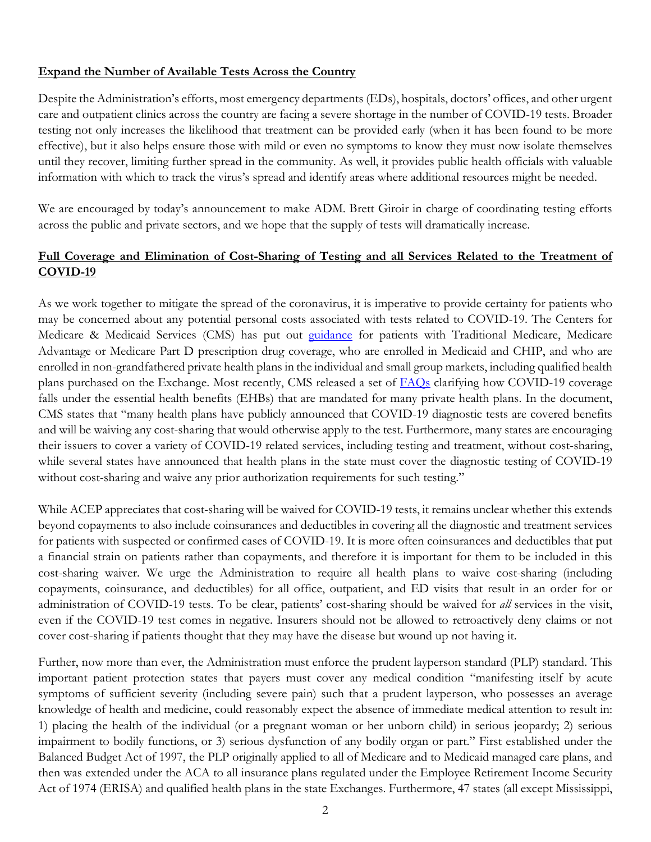### **Expand the Number of Available Tests Across the Country**

Despite the Administration's efforts, most emergency departments (EDs), hospitals, doctors' offices, and other urgent care and outpatient clinics across the country are facing a severe shortage in the number of COVID-19 tests. Broader testing not only increases the likelihood that treatment can be provided early (when it has been found to be more effective), but it also helps ensure those with mild or even no symptoms to know they must now isolate themselves until they recover, limiting further spread in the community. As well, it provides public health officials with valuable information with which to track the virus's spread and identify areas where additional resources might be needed.

We are encouraged by today's announcement to make ADM. Brett Giroir in charge of coordinating testing efforts across the public and private sectors, and we hope that the supply of tests will dramatically increase.

## **Full Coverage and Elimination of Cost-Sharing of Testing and all Services Related to the Treatment of COVID-19**

As we work together to mitigate the spread of the coronavirus, it is imperative to provide certainty for patients who may be concerned about any potential personal costs associated with tests related to COVID-19. The Centers for Medicare & Medicaid Services (CMS) has put out [guidance](https://www.cms.gov/newsroom/press-releases/cms-develops-additional-code-coronavirus-lab-tests) for patients with Traditional Medicare, Medicare Advantage or Medicare Part D prescription drug coverage, who are enrolled in Medicaid and CHIP, and who are enrolled in non-grandfathered private health plans in the individual and small group markets, including qualified health plans purchased on the Exchange. Most recently, CMS released a set of [FAQs](https://www.cms.gov/CCIIO/Resources/Fact-Sheets-and-FAQs/Downloads/EHB-Benchmark-Coverage-of-COVID-19.pdf) clarifying how COVID-19 coverage falls under the essential health benefits (EHBs) that are mandated for many private health plans. In the document, CMS states that "many health plans have publicly announced that COVID-19 diagnostic tests are covered benefits and will be waiving any cost-sharing that would otherwise apply to the test. Furthermore, many states are encouraging their issuers to cover a variety of COVID-19 related services, including testing and treatment, without cost-sharing, while several states have announced that health plans in the state must cover the diagnostic testing of COVID-19 without cost-sharing and waive any prior authorization requirements for such testing."

While ACEP appreciates that cost-sharing will be waived for COVID-19 tests, it remains unclear whether this extends beyond copayments to also include coinsurances and deductibles in covering all the diagnostic and treatment services for patients with suspected or confirmed cases of COVID-19. It is more often coinsurances and deductibles that put a financial strain on patients rather than copayments, and therefore it is important for them to be included in this cost-sharing waiver. We urge the Administration to require all health plans to waive cost-sharing (including copayments, coinsurance, and deductibles) for all office, outpatient, and ED visits that result in an order for or administration of COVID-19 tests. To be clear, patients' cost-sharing should be waived for *all* services in the visit, even if the COVID-19 test comes in negative. Insurers should not be allowed to retroactively deny claims or not cover cost-sharing if patients thought that they may have the disease but wound up not having it.

Further, now more than ever, the Administration must enforce the prudent layperson standard (PLP) standard. This important patient protection states that payers must cover any medical condition "manifesting itself by acute symptoms of sufficient severity (including severe pain) such that a prudent layperson, who possesses an average knowledge of health and medicine, could reasonably expect the absence of immediate medical attention to result in: 1) placing the health of the individual (or a pregnant woman or her unborn child) in serious jeopardy; 2) serious impairment to bodily functions, or 3) serious dysfunction of any bodily organ or part." First established under the Balanced Budget Act of 1997, the PLP originally applied to all of Medicare and to Medicaid managed care plans, and then was extended under the ACA to all insurance plans regulated under the Employee Retirement Income Security Act of 1974 (ERISA) and qualified health plans in the state Exchanges. Furthermore, 47 states (all except Mississippi,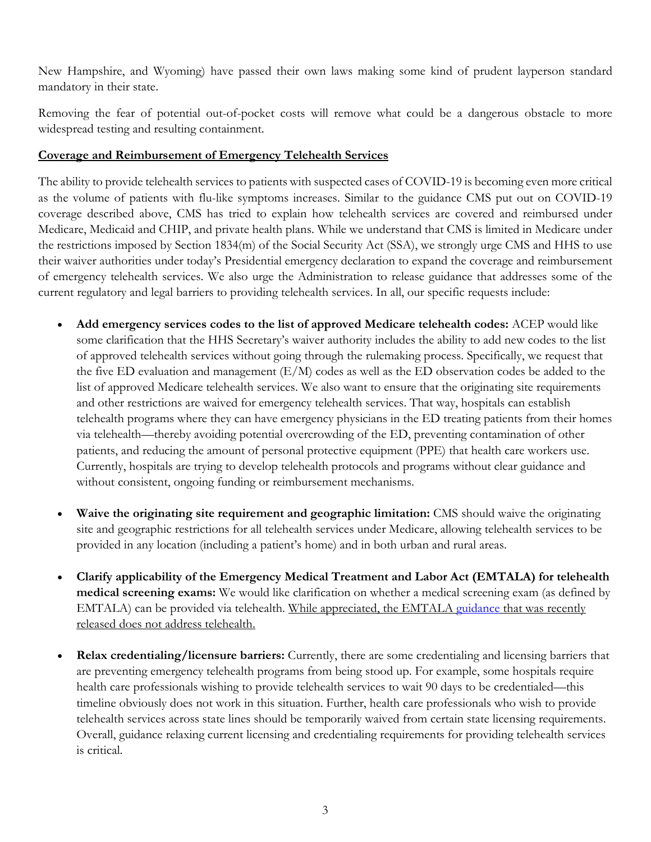New Hampshire, and Wyoming) have passed their own laws making some kind of prudent layperson standard mandatory in their state.

Removing the fear of potential out-of-pocket costs will remove what could be a dangerous obstacle to more widespread testing and resulting containment.

# **Coverage and Reimbursement of Emergency Telehealth Services**

The ability to provide telehealth services to patients with suspected cases of COVID-19 is becoming even more critical as the volume of patients with flu-like symptoms increases. Similar to the guidance CMS put out on COVID-19 coverage described above, CMS has tried to explain how telehealth services are covered and reimbursed under Medicare, Medicaid and CHIP, and private health plans. While we understand that CMS is limited in Medicare under the restrictions imposed by Section 1834(m) of the Social Security Act (SSA), we strongly urge CMS and HHS to use their waiver authorities under today's Presidential emergency declaration to expand the coverage and reimbursement of emergency telehealth services. We also urge the Administration to release guidance that addresses some of the current regulatory and legal barriers to providing telehealth services. In all, our specific requests include:

- **Add emergency services codes to the list of approved Medicare telehealth codes:** ACEP would like some clarification that the HHS Secretary's waiver authority includes the ability to add new codes to the list of approved telehealth services without going through the rulemaking process. Specifically, we request that the five ED evaluation and management (E/M) codes as well as the ED observation codes be added to the list of approved Medicare telehealth services. We also want to ensure that the originating site requirements and other restrictions are waived for emergency telehealth services. That way, hospitals can establish telehealth programs where they can have emergency physicians in the ED treating patients from their homes via telehealth—thereby avoiding potential overcrowding of the ED, preventing contamination of other patients, and reducing the amount of personal protective equipment (PPE) that health care workers use. Currently, hospitals are trying to develop telehealth protocols and programs without clear guidance and without consistent, ongoing funding or reimbursement mechanisms.
- **Waive the originating site requirement and geographic limitation:** CMS should waive the originating site and geographic restrictions for all telehealth services under Medicare, allowing telehealth services to be provided in any location (including a patient's home) and in both urban and rural areas.
- **Clarify applicability of the Emergency Medical Treatment and Labor Act (EMTALA) for telehealth medical screening exams:** We would like clarification on whether a medical screening exam (as defined by EMTALA) can be provided via telehealth. While appreciated, the EMTALA [guidance](https://www.cms.gov/files/document/qso-20-15-hospitalcahemtala.pdf) that was recently released does not address telehealth.
- **Relax credentialing/licensure barriers:** Currently, there are some credentialing and licensing barriers that are preventing emergency telehealth programs from being stood up. For example, some hospitals require health care professionals wishing to provide telehealth services to wait 90 days to be credentialed—this timeline obviously does not work in this situation. Further, health care professionals who wish to provide telehealth services across state lines should be temporarily waived from certain state licensing requirements. Overall, guidance relaxing current licensing and credentialing requirements for providing telehealth services is critical.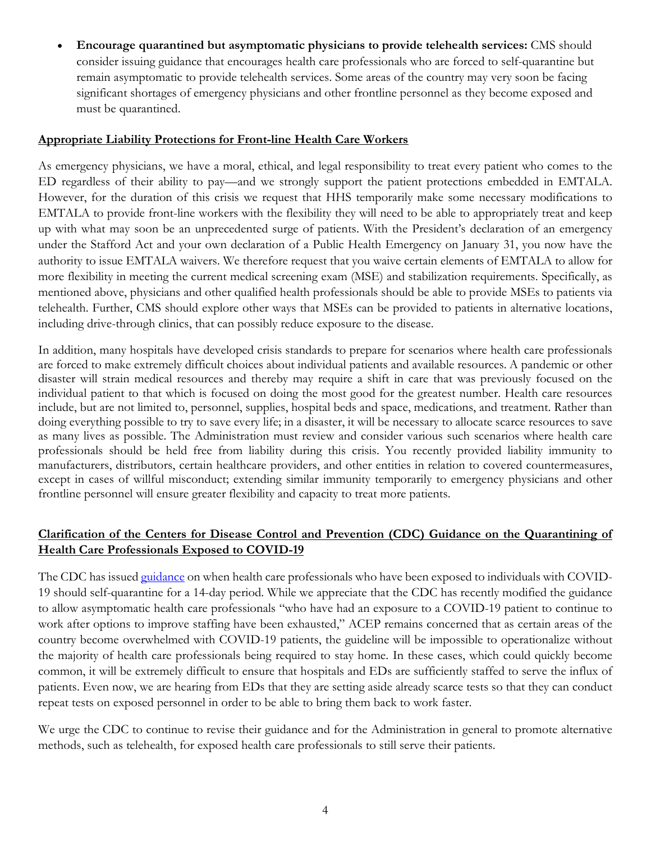• **Encourage quarantined but asymptomatic physicians to provide telehealth services:** CMS should consider issuing guidance that encourages health care professionals who are forced to self-quarantine but remain asymptomatic to provide telehealth services. Some areas of the country may very soon be facing significant shortages of emergency physicians and other frontline personnel as they become exposed and must be quarantined.

## **Appropriate Liability Protections for Front-line Health Care Workers**

As emergency physicians, we have a moral, ethical, and legal responsibility to treat every patient who comes to the ED regardless of their ability to pay—and we strongly support the patient protections embedded in EMTALA. However, for the duration of this crisis we request that HHS temporarily make some necessary modifications to EMTALA to provide front-line workers with the flexibility they will need to be able to appropriately treat and keep up with what may soon be an unprecedented surge of patients. With the President's declaration of an emergency under the Stafford Act and your own declaration of a Public Health Emergency on January 31, you now have the authority to issue EMTALA waivers. We therefore request that you waive certain elements of EMTALA to allow for more flexibility in meeting the current medical screening exam (MSE) and stabilization requirements. Specifically, as mentioned above, physicians and other qualified health professionals should be able to provide MSEs to patients via telehealth. Further, CMS should explore other ways that MSEs can be provided to patients in alternative locations, including drive-through clinics, that can possibly reduce exposure to the disease.

In addition, many hospitals have developed crisis standards to prepare for scenarios where health care professionals are forced to make extremely difficult choices about individual patients and available resources. A pandemic or other disaster will strain medical resources and thereby may require a shift in care that was previously focused on the individual patient to that which is focused on doing the most good for the greatest number. Health care resources include, but are not limited to, personnel, supplies, hospital beds and space, medications, and treatment. Rather than doing everything possible to try to save every life; in a disaster, it will be necessary to allocate scarce resources to save as many lives as possible. The Administration must review and consider various such scenarios where health care professionals should be held free from liability during this crisis. You recently provided liability immunity to manufacturers, distributors, certain healthcare providers, and other entities in relation to covered countermeasures, except in cases of willful misconduct; extending similar immunity temporarily to emergency physicians and other frontline personnel will ensure greater flexibility and capacity to treat more patients.

# **Clarification of the Centers for Disease Control and Prevention (CDC) Guidance on the Quarantining of Health Care Professionals Exposed to COVID-19**

The CDC has issue[d guidance](https://www.cdc.gov/coronavirus/2019-ncov/hcp/guidance-risk-assesment-hcp.html) on when health care professionals who have been exposed to individuals with COVID-19 should self-quarantine for a 14-day period. While we appreciate that the CDC has recently modified the guidance to allow asymptomatic health care professionals "who have had an exposure to a COVID-19 patient to continue to work after options to improve staffing have been exhausted," ACEP remains concerned that as certain areas of the country become overwhelmed with COVID-19 patients, the guideline will be impossible to operationalize without the majority of health care professionals being required to stay home. In these cases, which could quickly become common, it will be extremely difficult to ensure that hospitals and EDs are sufficiently staffed to serve the influx of patients. Even now, we are hearing from EDs that they are setting aside already scarce tests so that they can conduct repeat tests on exposed personnel in order to be able to bring them back to work faster.

We urge the CDC to continue to revise their guidance and for the Administration in general to promote alternative methods, such as telehealth, for exposed health care professionals to still serve their patients.